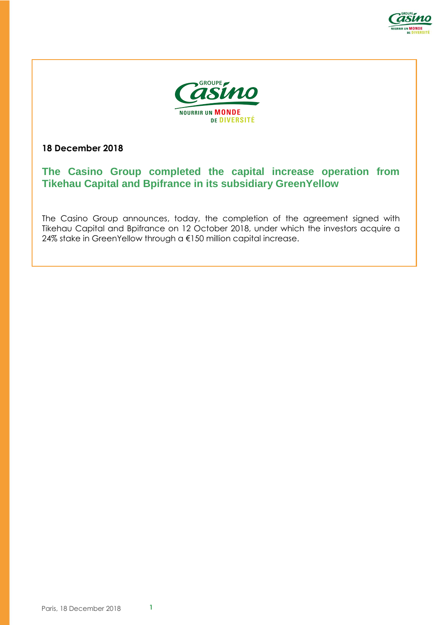



**18 December 2018**

# **The Casino Group completed the capital increase operation from Tikehau Capital and Bpifrance in its subsidiary GreenYellow**

The Casino Group announces, today, the completion of the agreement signed with Tikehau Capital and Bpifrance on 12 October 2018, under which the investors acquire a 24% stake in GreenYellow through a €150 million capital increase.